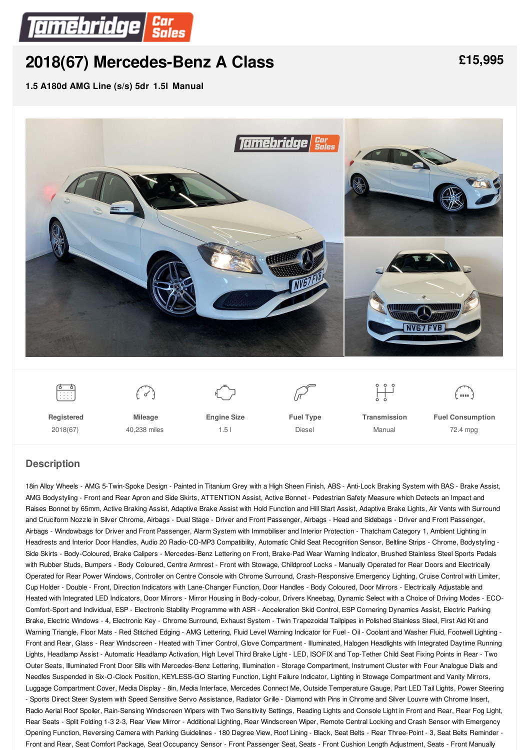

# **2018(67) [Mercedes-Benz](/used-cars/pdf/) A Class**

**1.5 A180d AMG Line (s/s) 5dr 1.5l Manual**



# **Description**

18in Alloy Wheels - AMG 5-Twin-Spoke Design - Painted in Titanium Grey with a High Sheen Finish, ABS - Anti-Lock Braking System with BAS - Brake Assist, AMG Bodystyling - Front and Rear Apron and Side Skirts, ATTENTION Assist, Active Bonnet - Pedestrian Safety Measure which Detects an Impact and Raises Bonnet by 65mm, Active Braking Assist, Adaptive Brake Assist with Hold Function and Hill Start Assist, Adaptive Brake Lights, Air Vents with Surround and Cruciform Nozzle in Silver Chrome, Airbags - Dual Stage - Driver and Front Passenger, Airbags - Head and Sidebags - Driver and Front Passenger, Airbags - Windowbags for Driver and Front Passenger, Alarm System with Immobiliser and Interior Protection - Thatcham Category 1, Ambient Lighting in Headrests and Interior Door Handles, Audio 20 Radio-CD-MP3 Compatibility, Automatic Child Seat Recognition Sensor, Beltline Strips - Chrome, Bodystyling - Side Skirts - Body-Coloured, Brake Calipers - Mercedes-Benz Lettering on Front, Brake-Pad Wear Warning Indicator, Brushed Stainless Steel Sports Pedals with Rubber Studs, Bumpers - Body Coloured, Centre Armrest - Front with Stowage, Childproof Locks - Manually Operated for Rear Doors and Electrically Operated for Rear Power Windows, Controller on Centre Console with Chrome Surround, Crash-Responsive Emergency Lighting, Cruise Control with Limiter, Cup Holder - Double - Front, Direction Indicators with Lane-Changer Function, Door Handles - Body Coloured, Door Mirrors - Electrically Adjustable and Heated with Integrated LED Indicators, Door Mirrors - Mirror Housing in Body-colour, Drivers Kneebag, Dynamic Select with a Choice of Driving Modes - ECO-Comfort-Sport and Individual, ESP - Electronic Stability Programme with ASR - Acceleration Skid Control, ESP Cornering Dynamics Assist, Electric Parking Brake, Electric Windows - 4, Electronic Key - Chrome Surround, Exhaust System - Twin Trapezoidal Tailpipes in Polished Stainless Steel, First Aid Kit and Warning Triangle, Floor Mats - Red Stitched Edging - AMG Lettering, Fluid Level Warning Indicator for Fuel - Oil - Coolant and Washer Fluid, Footwell Lighting -Front and Rear, Glass - Rear Windscreen - Heated with Timer Control, Glove Compartment - Illuminated, Halogen Headlights with Integrated Daytime Running Lights, Headlamp Assist - Automatic Headlamp Activation, High Level Third Brake Light - LED, ISOFIX and Top-Tether Child Seat Fixing Points in Rear - Two Outer Seats, Illuminated Front Door Sills with Mercedes-Benz Lettering, Illumination - Storage Compartment, Instrument Cluster with Four Analogue Dials and Needles Suspended in Six-O-Clock Position, KEYLESS-GO Starting Function, Light Failure Indicator, Lighting in Stowage Compartment and Vanity Mirrors, Luggage Compartment Cover, Media Display - 8in, Media Interface, Mercedes Connect Me, Outside Temperature Gauge, Part LED Tail Lights, Power Steering - Sports Direct Steer System with Speed Sensitive Servo Assistance, Radiator Grille - Diamond with Pins in Chrome and Silver Louvre with Chrome Insert, Radio Aerial Roof Spoiler, Rain-Sensing Windscreen Wipers with Two Sensitivity Settings, Reading Lights and Console Light in Front and Rear, Rear Fog Light, Rear Seats - Split Folding 1-3 2-3, Rear View Mirror - Additional Lighting, Rear Windscreen Wiper, Remote Central Locking and Crash Sensor with Emergency Opening Function, Reversing Camera with Parking Guidelines - 180 Degree View, Roof Lining - Black, Seat Belts - Rear Three-Point - 3, Seat Belts Reminder - Front and Rear, Seat Comfort Package, Seat Occupancy Sensor - Front Passenger Seat, Seats - Front Cushion Length Adjustment, Seats - Front Manually

**[£15,995](/used-cars/pdf/)**